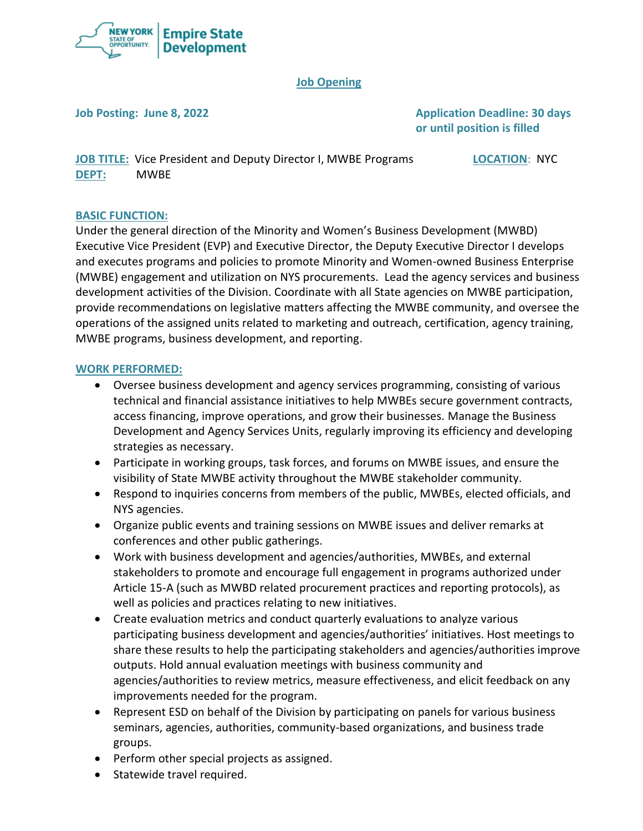

## **Job Opening**

**Job Posting: June 8, 2022 Application Deadline: 30 days or until position is filled**

**JOB TITLE:** Vice President and Deputy Director I, MWBE Programs **LOCATION**: NYC **DEPT:** MWBE

## **BASIC FUNCTION:**

Under the general direction of the Minority and Women's Business Development (MWBD) Executive Vice President (EVP) and Executive Director, the Deputy Executive Director I develops and executes programs and policies to promote Minority and Women-owned Business Enterprise (MWBE) engagement and utilization on NYS procurements. Lead the agency services and business development activities of the Division. Coordinate with all State agencies on MWBE participation, provide recommendations on legislative matters affecting the MWBE community, and oversee the operations of the assigned units related to marketing and outreach, certification, agency training, MWBE programs, business development, and reporting.

#### **WORK PERFORMED:**

- Oversee business development and agency services programming, consisting of various technical and financial assistance initiatives to help MWBEs secure government contracts, access financing, improve operations, and grow their businesses. Manage the Business Development and Agency Services Units, regularly improving its efficiency and developing strategies as necessary.
- Participate in working groups, task forces, and forums on MWBE issues, and ensure the visibility of State MWBE activity throughout the MWBE stakeholder community.
- Respond to inquiries concerns from members of the public, MWBEs, elected officials, and NYS agencies.
- Organize public events and training sessions on MWBE issues and deliver remarks at conferences and other public gatherings.
- Work with business development and agencies/authorities, MWBEs, and external stakeholders to promote and encourage full engagement in programs authorized under Article 15-A (such as MWBD related procurement practices and reporting protocols), as well as policies and practices relating to new initiatives.
- Create evaluation metrics and conduct quarterly evaluations to analyze various participating business development and agencies/authorities' initiatives. Host meetings to share these results to help the participating stakeholders and agencies/authorities improve outputs. Hold annual evaluation meetings with business community and agencies/authorities to review metrics, measure effectiveness, and elicit feedback on any improvements needed for the program.
- Represent ESD on behalf of the Division by participating on panels for various business seminars, agencies, authorities, community-based organizations, and business trade groups.
- Perform other special projects as assigned.
- Statewide travel required.